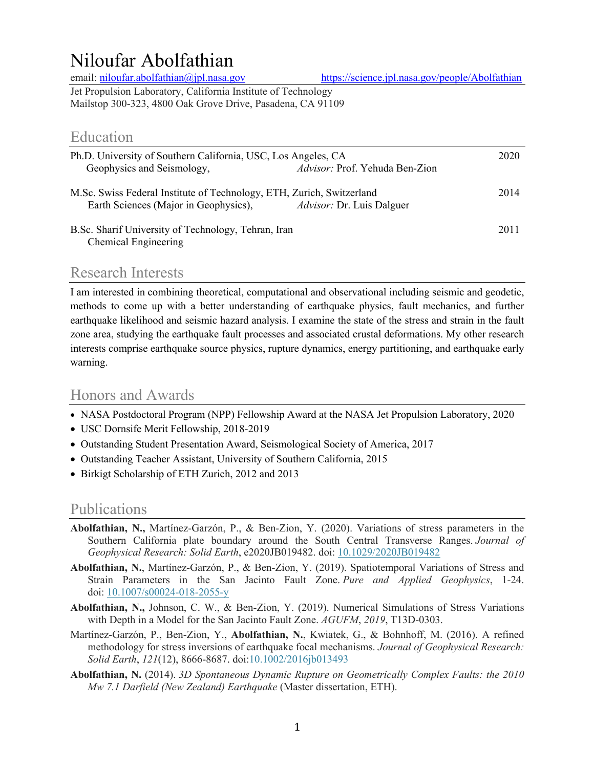# Niloufar Abolfathian

email: niloufar.abolfathian@jpl.nasa.gov https://science.jpl.nasa.gov/people/Abolfathian

Jet Propulsion Laboratory, California Institute of Technology Mailstop 300-323, 4800 Oak Grove Drive, Pasadena, CA 91109

# Education

| Ph.D. University of Southern California, USC, Los Angeles, CA<br>Geophysics and Seismology,                    | Advisor: Prof. Yehuda Ben-Zion   | 2020 |
|----------------------------------------------------------------------------------------------------------------|----------------------------------|------|
| M.Sc. Swiss Federal Institute of Technology, ETH, Zurich, Switzerland<br>Earth Sciences (Major in Geophysics), | <i>Advisor:</i> Dr. Luis Dalguer | 2014 |
| B.Sc. Sharif University of Technology, Tehran, Iran<br>Chemical Engineering                                    |                                  | 2011 |

# Research Interests

I am interested in combining theoretical, computational and observational including seismic and geodetic, methods to come up with a better understanding of earthquake physics, fault mechanics, and further earthquake likelihood and seismic hazard analysis. I examine the state of the stress and strain in the fault zone area, studying the earthquake fault processes and associated crustal deformations. My other research interests comprise earthquake source physics, rupture dynamics, energy partitioning, and earthquake early warning.

# Honors and Awards

- NASA Postdoctoral Program (NPP) Fellowship Award at the NASA Jet Propulsion Laboratory, 2020
- USC Dornsife Merit Fellowship, 2018-2019
- Outstanding Student Presentation Award, Seismological Society of America, 2017
- Outstanding Teacher Assistant, University of Southern California, 2015
- Birkigt Scholarship of ETH Zurich, 2012 and 2013

### Publications

- **Abolfathian, N.,** Martínez‐Garzón, P., & Ben‐Zion, Y. (2020). Variations of stress parameters in the Southern California plate boundary around the South Central Transverse Ranges. *Journal of Geophysical Research: Solid Earth*, e2020JB019482. doi: 10.1029/2020JB019482
- **Abolfathian, N.**, Martínez-Garzón, P., & Ben-Zion, Y. (2019). Spatiotemporal Variations of Stress and Strain Parameters in the San Jacinto Fault Zone. *Pure and Applied Geophysics*, 1-24. doi: 10.1007/s00024-018-2055-y
- **Abolfathian, N.,** Johnson, C. W., & Ben-Zion, Y. (2019). Numerical Simulations of Stress Variations with Depth in a Model for the San Jacinto Fault Zone. *AGUFM*, *2019*, T13D-0303.
- Martínez-Garzón, P., Ben-Zion, Y., **Abolfathian, N.**, Kwiatek, G., & Bohnhoff, M. (2016). A refined methodology for stress inversions of earthquake focal mechanisms. *Journal of Geophysical Research: Solid Earth*, *121*(12), 8666-8687. doi:10.1002/2016jb013493
- **Abolfathian, N.** (2014). *3D Spontaneous Dynamic Rupture on Geometrically Complex Faults: the 2010 Mw 7.1 Darfield (New Zealand) Earthquake* (Master dissertation, ETH).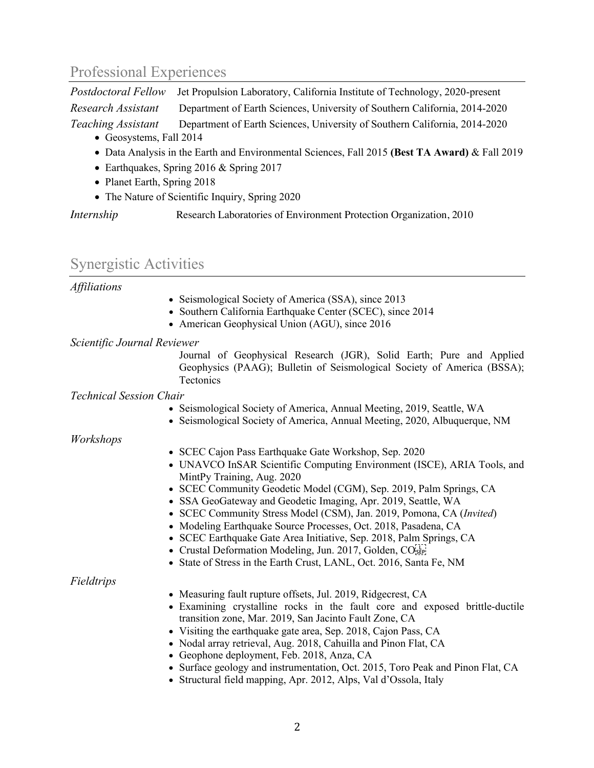# Professional Experiences

*Postdoctoral Fellow* Jet Propulsion Laboratory, California Institute of Technology, 2020-present *Research Assistant* Department of Earth Sciences, University of Southern California, 2014-2020 *Teaching Assistant* Department of Earth Sciences, University of Southern California, 2014-2020

- Geosystems, Fall 2014
- Data Analysis in the Earth and Environmental Sciences, Fall 2015 **(Best TA Award)** & Fall 2019
- Earthquakes, Spring 2016 & Spring 2017
- Planet Earth, Spring 2018
- The Nature of Scientific Inquiry, Spring 2020

*Internship* **Research Laboratories of Environment Protection Organization, 2010** 

### Synergistic Activities

#### *Affiliations*

- Seismological Society of America (SSA), since 2013
- Southern California Earthquake Center (SCEC), since 2014
- American Geophysical Union (AGU), since 2016

#### *Scientific Journal Reviewer*

Journal of Geophysical Research (JGR), Solid Earth; Pure and Applied Geophysics (PAAG); Bulletin of Seismological Society of America (BSSA); **Tectonics** 

#### *Technical Session Chair*

- Seismological Society of America, Annual Meeting, 2019, Seattle, WA
- Seismological Society of America, Annual Meeting, 2020, Albuquerque, NM

### *Workshops*

- SCEC Cajon Pass Earthquake Gate Workshop, Sep. 2020
- UNAVCO InSAR Scientific Computing Environment (ISCE), ARIA Tools, and MintPy Training, Aug. 2020
- SCEC Community Geodetic Model (CGM), Sep. 2019, Palm Springs, CA
- SSA GeoGateway and Geodetic Imaging, Apr. 2019, Seattle, WA
- SCEC Community Stress Model (CSM), Jan. 2019, Pomona, CA (*Invited*)
- Modeling Earthquake Source Processes, Oct. 2018, Pasadena, CA
- SCEC Earthquake Gate Area Initiative, Sep. 2018, Palm Springs, CA
- Crustal Deformation Modeling, Jun. 2017, Golden, CO<sub>SEP1</sub>
- State of Stress in the Earth Crust, LANL, Oct. 2016, Santa Fe, NM

#### *Fieldtrips*

- Measuring fault rupture offsets, Jul. 2019, Ridgecrest, CA
- Examining crystalline rocks in the fault core and exposed brittle-ductile transition zone, Mar. 2019, San Jacinto Fault Zone, CA
- Visiting the earthquake gate area, Sep. 2018, Cajon Pass, CA
- Nodal array retrieval, Aug. 2018, Cahuilla and Pinon Flat, CA
- Geophone deployment, Feb. 2018, Anza, CA
- Surface geology and instrumentation, Oct. 2015, Toro Peak and Pinon Flat, CA
- Structural field mapping, Apr. 2012, Alps, Val d'Ossola, Italy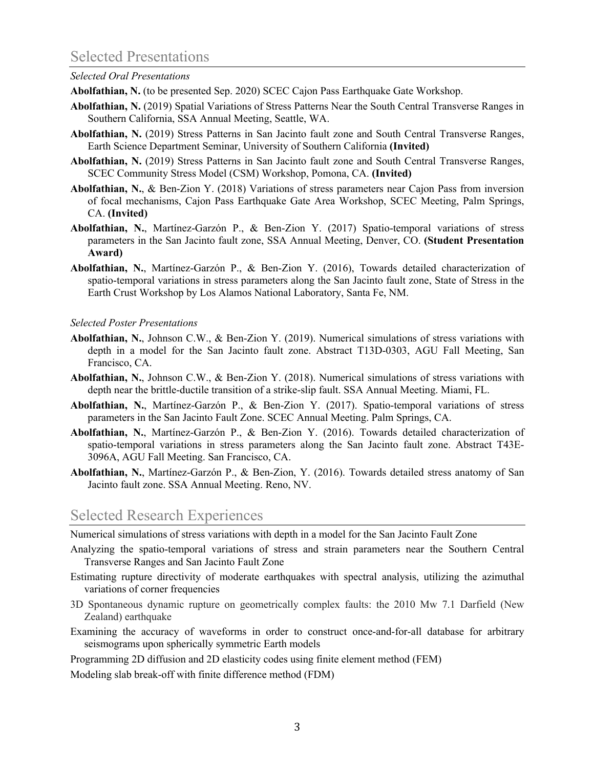# Selected Presentations

#### *Selected Oral Presentations*

**Abolfathian, N.** (to be presented Sep. 2020) SCEC Cajon Pass Earthquake Gate Workshop.

- **Abolfathian, N.** (2019) Spatial Variations of Stress Patterns Near the South Central Transverse Ranges in Southern California, SSA Annual Meeting, Seattle, WA.
- **Abolfathian, N.** (2019) Stress Patterns in San Jacinto fault zone and South Central Transverse Ranges, Earth Science Department Seminar, University of Southern California **(Invited)**
- **Abolfathian, N.** (2019) Stress Patterns in San Jacinto fault zone and South Central Transverse Ranges, SCEC Community Stress Model (CSM) Workshop, Pomona, CA. **(Invited)**
- **Abolfathian, N.**, & Ben-Zion Y. (2018) Variations of stress parameters near Cajon Pass from inversion of focal mechanisms, Cajon Pass Earthquake Gate Area Workshop, SCEC Meeting, Palm Springs, CA. **(Invited)**
- **Abolfathian, N.**, Martínez-Garzón P., & Ben-Zion Y. (2017) Spatio-temporal variations of stress parameters in the San Jacinto fault zone, SSA Annual Meeting, Denver, CO. **(Student Presentation Award)**
- **Abolfathian, N.**, Martínez-Garzón P., & Ben-Zion Y. (2016), Towards detailed characterization of spatio-temporal variations in stress parameters along the San Jacinto fault zone, State of Stress in the Earth Crust Workshop by Los Alamos National Laboratory, Santa Fe, NM.

### *Selected Poster Presentations*

- **Abolfathian, N.**, Johnson C.W., & Ben-Zion Y. (2019). Numerical simulations of stress variations with depth in a model for the San Jacinto fault zone. Abstract T13D-0303, AGU Fall Meeting, San Francisco, CA.
- **Abolfathian, N.**, Johnson C.W., & Ben-Zion Y. (2018). Numerical simulations of stress variations with depth near the brittle-ductile transition of a strike-slip fault. SSA Annual Meeting. Miami, FL.
- **Abolfathian, N.**, Martínez-Garzón P., & Ben-Zion Y. (2017). Spatio-temporal variations of stress parameters in the San Jacinto Fault Zone. SCEC Annual Meeting. Palm Springs, CA.
- **Abolfathian, N.**, Martínez-Garzón P., & Ben-Zion Y. (2016). Towards detailed characterization of spatio-temporal variations in stress parameters along the San Jacinto fault zone. Abstract T43E-3096A, AGU Fall Meeting. San Francisco, CA.
- **Abolfathian, N.**, Martínez-Garzón P., & Ben-Zion, Y. (2016). Towards detailed stress anatomy of San Jacinto fault zone. SSA Annual Meeting. Reno, NV.

### Selected Research Experiences

Numerical simulations of stress variations with depth in a model for the San Jacinto Fault Zone

- Analyzing the spatio-temporal variations of stress and strain parameters near the Southern Central Transverse Ranges and San Jacinto Fault Zone
- Estimating rupture directivity of moderate earthquakes with spectral analysis, utilizing the azimuthal variations of corner frequencies
- 3D Spontaneous dynamic rupture on geometrically complex faults: the 2010 Mw 7.1 Darfield (New Zealand) earthquake
- Examining the accuracy of waveforms in order to construct once-and-for-all database for arbitrary seismograms upon spherically symmetric Earth models

Programming 2D diffusion and 2D elasticity codes using finite element method (FEM)

Modeling slab break-off with finite difference method (FDM)